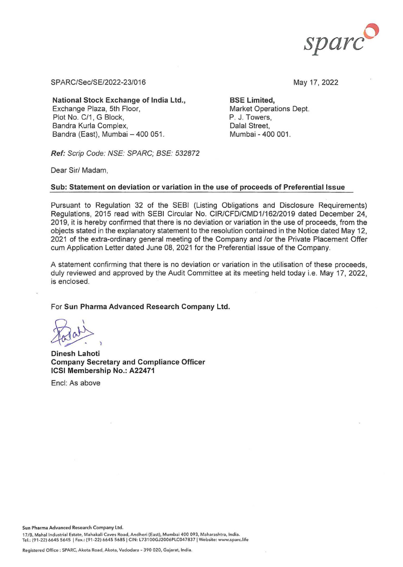

SPARC/Sec/SE/2022-23/016 May 17, 2022

National Stock Exchange of India Ltd., BSE Limited, Exchange Plaza, 5th Floor, Plot No. C/1, G Block, Bandra Kurla Complex, **Example 19 and Street**, Dalal Street, Bandra (East), Mumbai - 400 051. Mumbai - 400 001.

Market Operations Dept. P. J. Towers,

Ref: Scrip Code: NSE: SPARC; BSE: 532872

Dear Sir/ Madam,

## Sub: Statement on deviation or variation in the use of proceeds of Preferential Issue

Pursuant to Regulation 32 of the SEBI (Listing Obligations and Disclosure Requirements) Regulations, 2015 read with SEBI Circular No. CIR/CFD/CMD1/162/2019 dated December 24, 2019, it is hereby confirmed that there is no deviation or variation in the use of proceeds, from the objects stated in the explanatory statement to the resolution contained in the Notice dated May 12, 2021 of the extra-ordinary general meeting of the Company and /or the Private Placement Offer cum Application Letter dated June 08, 2021 for the Preferential Issue of the Company.

A statement confirming that there is no deviation or variation in the utilisation of these proceeds, duly reviewed and approved by the Audit Committee at its meeting held today i.e. May 17, 2022, is enclosed.

For Sun Pharma Advanced Research Company Ltd.

Dinesh Lahoti Company Secretary and Compliance Officer ICSI Membership No.: A22471

Encl: As above

Sun Pharma Advanced Research Company Ltd.

17/B, Mahal Industrial Estate, Mahakali Caves Road, Andheri (East), Mumbai 400 093, Maharashtra, India. Tel.: (91-22) 6645 5645 | Fax.: (91-22) 6645 5685 | CIN: L73100GJ2006PLC047837 | Website: www.sparc.life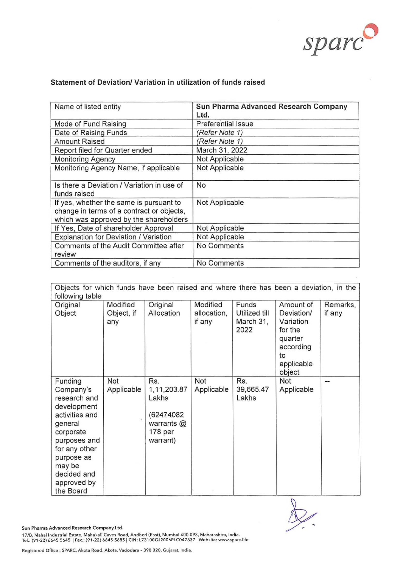

| Name of listed entity                                                                                                          | Sun Pharma Advanced Research Company<br>Ltd. |
|--------------------------------------------------------------------------------------------------------------------------------|----------------------------------------------|
| Mode of Fund Raising                                                                                                           | <b>Preferential Issue</b>                    |
| Date of Raising Funds                                                                                                          | (Refer Note 1)                               |
| <b>Amount Raised</b>                                                                                                           | (Refer Note 1)                               |
| Report filed for Quarter ended                                                                                                 | March 31, 2022                               |
| <b>Monitoring Agency</b>                                                                                                       | Not Applicable                               |
| Monitoring Agency Name, if applicable                                                                                          | Not Applicable                               |
| Is there a Deviation / Variation in use of<br>funds raised                                                                     | No                                           |
| If yes, whether the same is pursuant to<br>change in terms of a contract or objects,<br>which was approved by the shareholders | Not Applicable                               |
| If Yes, Date of shareholder Approval                                                                                           | Not Applicable                               |
| Explanation for Deviation / Variation                                                                                          | Not Applicable                               |
| Comments of the Audit Committee after<br>review                                                                                | No Comments                                  |
| Comments of the auditors, if any                                                                                               | No Comments                                  |

## **Statement of Deviation/ Variation in utilization of funds raised**

| Objects for which funds have been raised and where there has been a deviation, in the<br>following table                                                                                          |                               |                                                                                 |                                   |                                             |                                                                                                       |                    |  |
|---------------------------------------------------------------------------------------------------------------------------------------------------------------------------------------------------|-------------------------------|---------------------------------------------------------------------------------|-----------------------------------|---------------------------------------------|-------------------------------------------------------------------------------------------------------|--------------------|--|
| Original<br>Object                                                                                                                                                                                | Modified<br>Object, if<br>any | Original<br>Allocation                                                          | Modified<br>allocation,<br>if any | Funds<br>Utilized till<br>March 31,<br>2022 | Amount of<br>Deviation/<br>Variation<br>for the<br>quarter<br>according<br>to<br>applicable<br>object | Remarks,<br>if any |  |
| Funding<br>Company's<br>research and<br>development<br>activities and<br>general<br>corporate<br>purposes and<br>for any other<br>purpose as<br>may be<br>decided and<br>approved by<br>the Board | Not<br>Applicable             | Rs.<br>1,11,203.87<br>Lakhs<br>(62474082<br>warrants $@$<br>178 per<br>warrant) | Not<br>Applicable                 | Rs.<br>39,665.47<br>Lakhs                   | Not<br>Applicable                                                                                     |                    |  |

Sun Pharma Advanced Research Company Ltd.

17/B, Mahal Industrial Estate, Mahakali Caves Road, Andheri (East), Mumbai 400 093, Maharashtra, India.<br>Tel.: (91-22) 6645 5645 | Fax.: (91-22) 6645 5685 | CIN: L73100GJ2006PLC047837 | Website: www.sparc.life